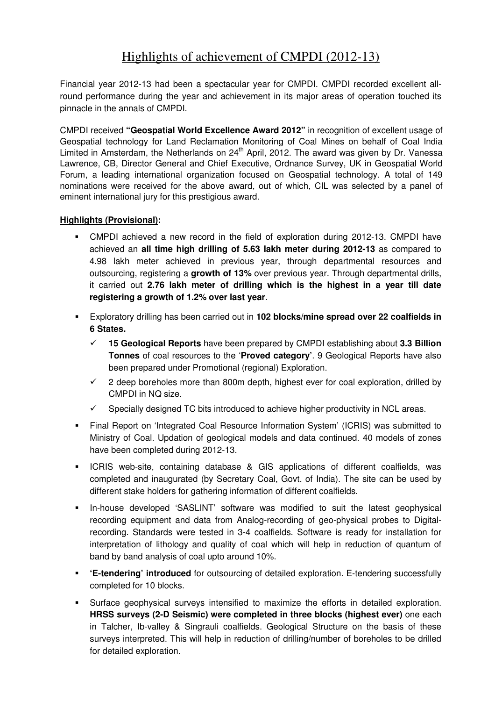## Highlights of achievement of CMPDI (2012-13)

Financial year 2012-13 had been a spectacular year for CMPDI. CMPDI recorded excellent allround performance during the year and achievement in its major areas of operation touched its pinnacle in the annals of CMPDI.

CMPDI received **"Geospatial World Excellence Award 2012"** in recognition of excellent usage of Geospatial technology for Land Reclamation Monitoring of Coal Mines on behalf of Coal India Limited in Amsterdam, the Netherlands on 24<sup>th</sup> April, 2012. The award was given by Dr. Vanessa Lawrence, CB, Director General and Chief Executive, Ordnance Survey, UK in Geospatial World Forum, a leading international organization focused on Geospatial technology. A total of 149 nominations were received for the above award, out of which, CIL was selected by a panel of eminent international jury for this prestigious award.

## **Highlights (Provisional):**

- CMPDI achieved a new record in the field of exploration during 2012-13. CMPDI have achieved an **all time high drilling of 5.63 lakh meter during 2012-13** as compared to 4.98 lakh meter achieved in previous year, through departmental resources and outsourcing, registering a **growth of 13%** over previous year. Through departmental drills, it carried out **2.76 lakh meter of drilling which is the highest in a year till date registering a growth of 1.2% over last year**.
- Exploratory drilling has been carried out in **102 blocks/mine spread over 22 coalfields in 6 States.**
	- $\checkmark$  **15 Geological Reports** have been prepared by CMPDI establishing about **3.3 Billion Tonnes** of coal resources to the '**Proved category'**. 9 Geological Reports have also been prepared under Promotional (regional) Exploration.
	- $\checkmark$  2 deep boreholes more than 800m depth, highest ever for coal exploration, drilled by CMPDI in NQ size.
	- $\checkmark$ Specially designed TC bits introduced to achieve higher productivity in NCL areas.
- Final Report on 'Integrated Coal Resource Information System' (ICRIS) was submitted to Ministry of Coal. Updation of geological models and data continued. 40 models of zones have been completed during 2012-13.
- ICRIS web-site, containing database & GIS applications of different coalfields, was completed and inaugurated (by Secretary Coal, Govt. of India). The site can be used by different stake holders for gathering information of different coalfields.
- In-house developed 'SASLINT' software was modified to suit the latest geophysical recording equipment and data from Analog-recording of geo-physical probes to Digitalrecording. Standards were tested in 3-4 coalfields. Software is ready for installation for interpretation of lithology and quality of coal which will help in reduction of quantum of band by band analysis of coal upto around 10%.
- **'E-tendering' introduced** for outsourcing of detailed exploration. E-tendering successfully completed for 10 blocks.
- Surface geophysical surveys intensified to maximize the efforts in detailed exploration. **HRSS surveys (2-D Seismic) were completed in three blocks (highest ever)** one each in Talcher, Ib-valley & Singrauli coalfields. Geological Structure on the basis of these surveys interpreted. This will help in reduction of drilling/number of boreholes to be drilled for detailed exploration.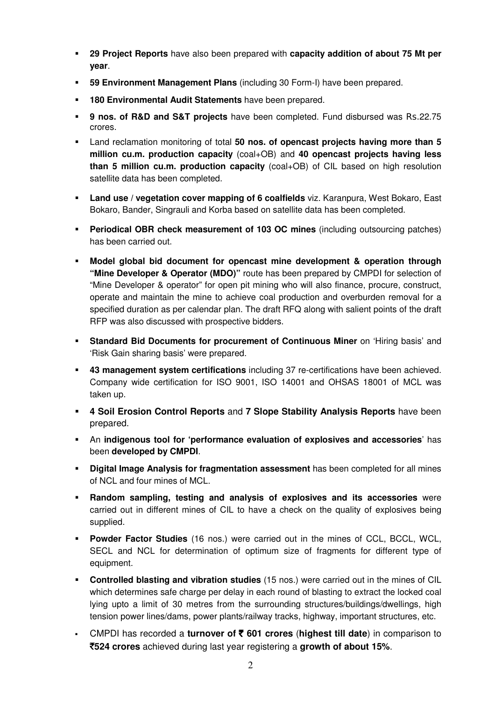- **29 Project Reports** have also been prepared with **capacity addition of about 75 Mt per year**.
- **59 Environment Management Plans** (including 30 Form-I) have been prepared.
- **180 Environmental Audit Statements** have been prepared.
- **9 nos. of R&D and S&T projects** have been completed. Fund disbursed was Rs.22.75 crores.
- Land reclamation monitoring of total **50 nos. of opencast projects having more than 5 million cu.m. production capacity** (coal+OB) and **40 opencast projects having less than 5 million cu.m. production capacity** (coal+OB) of CIL based on high resolution satellite data has been completed.
- **Land use / vegetation cover mapping of 6 coalfields** viz. Karanpura, West Bokaro, East Bokaro, Bander, Singrauli and Korba based on satellite data has been completed.
- **Periodical OBR check measurement of 103 OC mines** (including outsourcing patches) has been carried out.
- **Model global bid document for opencast mine development & operation through "Mine Developer & Operator (MDO)"** route has been prepared by CMPDI for selection of "Mine Developer & operator" for open pit mining who will also finance, procure, construct, operate and maintain the mine to achieve coal production and overburden removal for a specified duration as per calendar plan. The draft RFQ along with salient points of the draft RFP was also discussed with prospective bidders.
- **Standard Bid Documents for procurement of Continuous Miner** on 'Hiring basis' and 'Risk Gain sharing basis' were prepared.
- **43 management system certifications** including 37 re-certifications have been achieved. Company wide certification for ISO 9001, ISO 14001 and OHSAS 18001 of MCL was taken up.
- **4 Soil Erosion Control Reports** and **7 Slope Stability Analysis Reports** have been prepared.
- An **indigenous tool for 'performance evaluation of explosives and accessories**' has been **developed by CMPDI**.
- **Digital Image Analysis for fragmentation assessment** has been completed for all mines of NCL and four mines of MCL.
- **Random sampling, testing and analysis of explosives and its accessories** were carried out in different mines of CIL to have a check on the quality of explosives being supplied.
- **Powder Factor Studies** (16 nos.) were carried out in the mines of CCL, BCCL, WCL, SECL and NCL for determination of optimum size of fragments for different type of equipment.
- **Controlled blasting and vibration studies** (15 nos.) were carried out in the mines of CIL which determines safe charge per delay in each round of blasting to extract the locked coal lying upto a limit of 30 metres from the surrounding structures/buildings/dwellings, high tension power lines/dams, power plants/railway tracks, highway, important structures, etc.
- CMPDI has recorded a **turnover of** ` **601 crores** (**highest till date**) in comparison to `**524 crores** achieved during last year registering a **growth of about 15%**.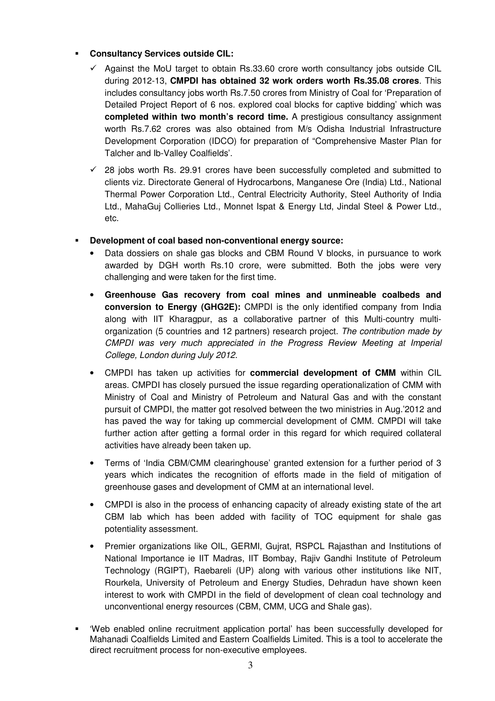## **Consultancy Services outside CIL:**

- $\checkmark$  Against the MoU target to obtain Rs.33.60 crore worth consultancy jobs outside CIL during 2012-13, **CMPDI has obtained 32 work orders worth Rs.35.08 crores**. This includes consultancy jobs worth Rs.7.50 crores from Ministry of Coal for 'Preparation of Detailed Project Report of 6 nos. explored coal blocks for captive bidding' which was **completed within two month's record time.** A prestigious consultancy assignment worth Rs.7.62 crores was also obtained from M/s Odisha Industrial Infrastructure Development Corporation (IDCO) for preparation of "Comprehensive Master Plan for Talcher and Ib-Valley Coalfields'.
- $\checkmark$  28 jobs worth Rs. 29.91 crores have been successfully completed and submitted to clients viz. Directorate General of Hydrocarbons, Manganese Ore (India) Ltd., National Thermal Power Corporation Ltd., Central Electricity Authority, Steel Authority of India Ltd., MahaGuj Collieries Ltd., Monnet Ispat & Energy Ltd, Jindal Steel & Power Ltd., etc.
- **Development of coal based non-conventional energy source:** 
	- Data dossiers on shale gas blocks and CBM Round V blocks, in pursuance to work awarded by DGH worth Rs.10 crore, were submitted. Both the jobs were very challenging and were taken for the first time.
	- **Greenhouse Gas recovery from coal mines and unmineable coalbeds and conversion to Energy (GHG2E):** CMPDI is the only identified company from India along with IIT Kharagpur, as a collaborative partner of this Multi-country multiorganization (5 countries and 12 partners) research project. The contribution made by CMPDI was very much appreciated in the Progress Review Meeting at Imperial College, London during July 2012.
	- CMPDI has taken up activities for **commercial development of CMM** within CIL areas. CMPDI has closely pursued the issue regarding operationalization of CMM with Ministry of Coal and Ministry of Petroleum and Natural Gas and with the constant pursuit of CMPDI, the matter got resolved between the two ministries in Aug.'2012 and has paved the way for taking up commercial development of CMM. CMPDI will take further action after getting a formal order in this regard for which required collateral activities have already been taken up.
	- Terms of 'India CBM/CMM clearinghouse' granted extension for a further period of 3 years which indicates the recognition of efforts made in the field of mitigation of greenhouse gases and development of CMM at an international level.
	- CMPDI is also in the process of enhancing capacity of already existing state of the art CBM lab which has been added with facility of TOC equipment for shale gas potentiality assessment.
	- Premier organizations like OIL, GERMI, Gujrat, RSPCL Rajasthan and Institutions of National Importance ie IIT Madras, IIT Bombay, Rajiv Gandhi Institute of Petroleum Technology (RGIPT), Raebareli (UP) along with various other institutions like NIT, Rourkela, University of Petroleum and Energy Studies, Dehradun have shown keen interest to work with CMPDI in the field of development of clean coal technology and unconventional energy resources (CBM, CMM, UCG and Shale gas).
- 'Web enabled online recruitment application portal' has been successfully developed for Mahanadi Coalfields Limited and Eastern Coalfields Limited. This is a tool to accelerate the direct recruitment process for non-executive employees.